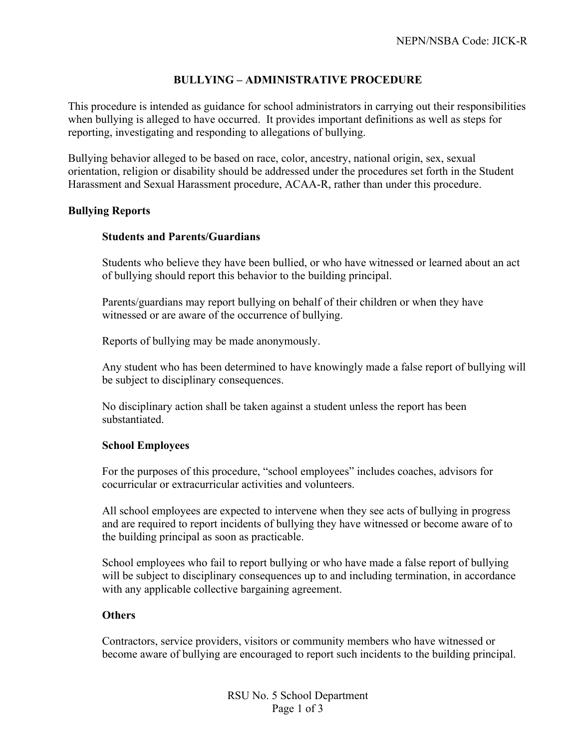# **BULLYING – ADMINISTRATIVE PROCEDURE**

This procedure is intended as guidance for school administrators in carrying out their responsibilities when bullying is alleged to have occurred.It provides important definitions as well as steps for reporting, investigating and responding to allegations of bullying.

Bullying behavior alleged to be based on race, color, ancestry, national origin, sex, sexual orientation, religion or disability should be addressed under the procedures set forth in the Student Harassment and Sexual Harassment procedure, ACAA-R, rather than under this procedure.

### **Bullying Reports**

### **Students and Parents/Guardians**

Students who believe they have been bullied, or who have witnessed or learned about an act of bullying should report this behavior to the building principal.

Parents/guardians may report bullying on behalf of their children or when they have witnessed or are aware of the occurrence of bullying.

Reports of bullying may be made anonymously.

Any student who has been determined to have knowingly made a false report of bullying will be subject to disciplinary consequences.

No disciplinary action shall be taken against a student unless the report has been substantiated.

### **School Employees**

For the purposes of this procedure, "school employees" includes coaches, advisors for cocurricular or extracurricular activities and volunteers.

All school employees are expected to intervene when they see acts of bullying in progress and are required to report incidents of bullying they have witnessed or become aware of to the building principal as soon as practicable.

School employees who fail to report bullying or who have made a false report of bullying will be subject to disciplinary consequences up to and including termination, in accordance with any applicable collective bargaining agreement.

## **Others**

Contractors, service providers, visitors or community members who have witnessed or become aware of bullying are encouraged to report such incidents to the building principal.

> RSU No. 5 School Department Page 1 of 3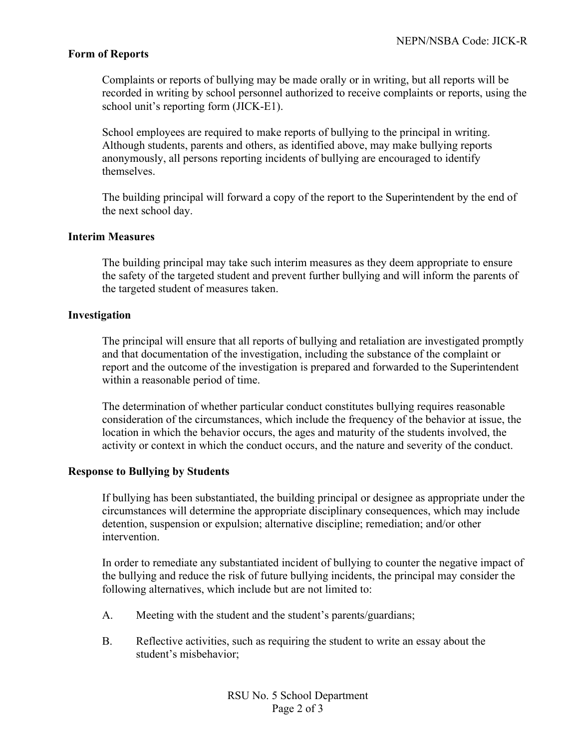## **Form of Reports**

Complaints or reports of bullying may be made orally or in writing, but all reports will be recorded in writing by school personnel authorized to receive complaints or reports, using the school unit's reporting form (JICK-E1).

School employees are required to make reports of bullying to the principal in writing. Although students, parents and others, as identified above, may make bullying reports anonymously, all persons reporting incidents of bullying are encouraged to identify themselves.

The building principal will forward a copy of the report to the Superintendent by the end of the next school day.

### **Interim Measures**

The building principal may take such interim measures as they deem appropriate to ensure the safety of the targeted student and prevent further bullying and will inform the parents of the targeted student of measures taken.

#### **Investigation**

The principal will ensure that all reports of bullying and retaliation are investigated promptly and that documentation of the investigation, including the substance of the complaint or report and the outcome of the investigation is prepared and forwarded to the Superintendent within a reasonable period of time.

The determination of whether particular conduct constitutes bullying requires reasonable consideration of the circumstances, which include the frequency of the behavior at issue, the location in which the behavior occurs, the ages and maturity of the students involved, the activity or context in which the conduct occurs, and the nature and severity of the conduct.

### **Response to Bullying by Students**

If bullying has been substantiated, the building principal or designee as appropriate under the circumstances will determine the appropriate disciplinary consequences, which may include detention, suspension or expulsion; alternative discipline; remediation; and/or other intervention.

In order to remediate any substantiated incident of bullying to counter the negative impact of the bullying and reduce the risk of future bullying incidents, the principal may consider the following alternatives, which include but are not limited to:

- A. Meeting with the student and the student's parents/guardians;
- B. Reflective activities, such as requiring the student to write an essay about the student's misbehavior;

RSU No. 5 School Department Page 2 of 3